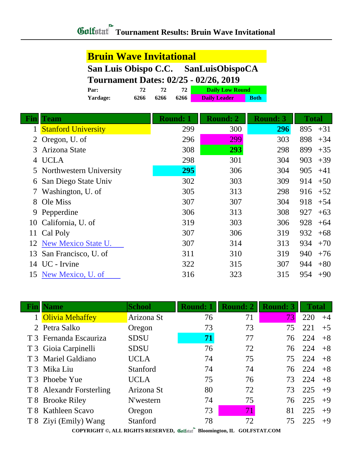### **Bruin Wave Invitational**

### **San Luis Obispo C.C. SanLuisObispoCA**

#### **Tournament Dates: 02/25 - 02/26, 2019**

| Par:            | 72   |      |      | <b>Daily Low Round</b> |             |
|-----------------|------|------|------|------------------------|-------------|
| <b>Yardage:</b> | 6266 | 6266 | 6266 | <b>Daily Leader</b>    | <b>Both</b> |

| <b>Fin</b> | <b>Team</b>                | <b>Round: 1</b> | <b>Round: 2</b> | <b>Round: 3</b> | <b>Total</b> |
|------------|----------------------------|-----------------|-----------------|-----------------|--------------|
|            | <b>Stanford University</b> | 299             | 300             | 296             | 895<br>$+31$ |
|            | 2 Oregon, U. of            | 296             | 299             | 303             | 898<br>$+34$ |
| 3          | Arizona State              | 308             | 293             | 298             | 899<br>$+35$ |
| 4          | <b>UCLA</b>                | 298             | 301             | 304             | 903<br>$+39$ |
|            | 5 Northwestern University  | 295             | 306             | 304             | 905<br>$+41$ |
| 6          | San Diego State Univ       | 302             | 303             | 309             | 914<br>$+50$ |
|            | Washington, U. of          | 305             | 313             | 298             | 916<br>$+52$ |
| 8          | Ole Miss                   | 307             | 307             | 304             | 918<br>$+54$ |
|            | 9 Pepperdine               | 306             | 313             | 308             | 927<br>$+63$ |
|            | 10 California, U. of       | 319             | 303             | 306             | 928<br>$+64$ |
| 11         | Cal Poly                   | 307             | 306             | 319             | 932<br>$+68$ |
|            | 12 New Mexico State U.     | 307             | 314             | 313             | 934<br>$+70$ |
| 13         | San Francisco, U. of       | 311             | 310             | 319             | 940<br>$+76$ |
| 14         | UC - Irvine                | 322             | 315             | 307             | 944<br>$+80$ |
| 15         | New Mexico, U. of          | 316             | 323             | 315             | 954<br>$+90$ |

| <b>School</b>                                                                                                                                                                                                                                               | <b>Round: 1</b> | <b>Round: 2</b> | <b>Round: 3</b> | <b>Total</b> |      |
|-------------------------------------------------------------------------------------------------------------------------------------------------------------------------------------------------------------------------------------------------------------|-----------------|-----------------|-----------------|--------------|------|
| Arizona St                                                                                                                                                                                                                                                  | 76              | 71              | 73              | 220          | $+4$ |
| Oregon                                                                                                                                                                                                                                                      | 73              | 73              | 75              | 221          | $+5$ |
| <b>SDSU</b>                                                                                                                                                                                                                                                 | 71              | 77              | 76              | 224          | $+8$ |
| <b>SDSU</b>                                                                                                                                                                                                                                                 | 76              | 72              | 76              | 224          | $+8$ |
| <b>UCLA</b>                                                                                                                                                                                                                                                 | 74              | 75              | 75              | 224          | $+8$ |
| Stanford                                                                                                                                                                                                                                                    | 74              | 74              | 76              | 224          | $+8$ |
| <b>UCLA</b>                                                                                                                                                                                                                                                 | 75              | 76              | 73              | 224          | $+8$ |
| Arizona St                                                                                                                                                                                                                                                  | 80              | 72              | 73              | 225          | $+9$ |
| N'western                                                                                                                                                                                                                                                   | 74              | 75              | 76              | 225          | $+9$ |
| Oregon                                                                                                                                                                                                                                                      | 73              | 71              | 81              | 225          | $+9$ |
| Stanford                                                                                                                                                                                                                                                    | 78              | 72              | 75              | 225          | $+9$ |
| <b>Name</b><br>1 Olivia Mehaffey<br>2 Petra Salko<br>T 3 Fernanda Escauriza<br>T 3 Gioia Carpinelli<br>T 3 Mariel Galdiano<br>T 3 Mika Liu<br>T 3 Phoebe Yue<br>T 8 Alexandr Forsterling<br>T 8 Brooke Riley<br>T 8 Kathleen Scavo<br>T 8 Ziyi (Emily) Wang |                 |                 |                 |              |      |

I

**COPYRIGHT ©, ALL RIGHTS RESERVED, Bloomington, IL GOLFSTAT.COM**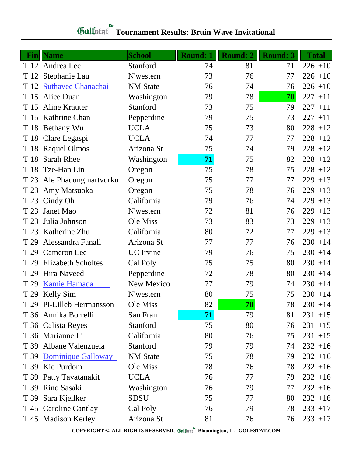# **Gulfatat** Tournament Results: Bruin Wave Invitational

|      | <b>Fin</b> Name           | <b>School</b>    | <b>Round: 1</b> | Round: 2 | <b>Round: 3</b> | <b>Total</b> |
|------|---------------------------|------------------|-----------------|----------|-----------------|--------------|
|      | T 12 Andrea Lee           | Stanford         | 74              | 81       | 71              | $226 + 10$   |
|      | T 12 Stephanie Lau        | N'western        | 73              | 76       | 77              | $226 + 10$   |
|      | T 12 Suthavee Chanachai   | <b>NM</b> State  | 76              | 74       | 76              | $226 + 10$   |
| T 15 | Alice Duan                | Washington       | 79              | 78       | 70              | $227 + 11$   |
|      | T 15 Aline Krauter        | Stanford         | 73              | 75       | 79              | $227 + 11$   |
|      | T 15 Kathrine Chan        | Pepperdine       | 79              | 75       | 73              | $227 + 11$   |
|      | T 18 Bethany Wu           | <b>UCLA</b>      | 75              | 73       | 80              | $228 + 12$   |
|      | T 18 Clare Legaspi        | <b>UCLA</b>      | 74              | 77       | 77              | $228 + 12$   |
|      | T 18 Raquel Olmos         | Arizona St       | 75              | 74       | 79              | $228 + 12$   |
|      | T 18 Sarah Rhee           | Washington       | 71              | 75       | 82              | $228 + 12$   |
|      | T 18 Tze-Han Lin          | Oregon           | 75              | 78       | 75              | $228 + 12$   |
|      | T 23 Ale Phadungmartvorku | Oregon           | 75              | 77       | 77              | $229 + 13$   |
|      | T 23 Amy Matsuoka         | Oregon           | 75              | 78       | 76              | $229 + 13$   |
|      | T 23 Cindy Oh             | California       | 79              | 76       | 74              | $229 + 13$   |
| T 23 | Janet Mao                 | N'western        | 72              | 81       | 76              | $229 + 13$   |
| T 23 | Julia Johnson             | Ole Miss         | 73              | 83       | 73              | $229 + 13$   |
|      | T 23 Katherine Zhu        | California       | 80              | 72       | 77              | $229 + 13$   |
| T 29 | Alessandra Fanali         | Arizona St       | 77              | 77       | 76              | $230 + 14$   |
| T 29 | Cameron Lee               | <b>UC</b> Irvine | 79              | 76       | 75              | $230 + 14$   |
| T 29 | <b>Elizabeth Scholtes</b> | Cal Poly         | 75              | 75       | 80              | $230 + 14$   |
| T 29 | <b>Hira Naveed</b>        | Pepperdine       | 72              | 78       | 80              | $230 + 14$   |
| T 29 | Kamie Hamada              | New Mexico       | 77              | 79       | 74              | $230 + 14$   |
|      | T 29 Kelly Sim            | N'western        | 80              | 75       | 75              | $230 + 14$   |
|      | T 29 Pi-Lilleb Hermansson | Ole Miss         | 82              | 70       | 78              | $230 + 14$   |
|      | T 36 Annika Borrelli      | San Fran         | 71              | 79       | 81              | $231 + 15$   |
|      | T 36 Calista Reyes        | Stanford         | 75              | 80       | 76              | $231 + 15$   |
|      | T 36 Marianne Li          | California       | 80              | 76       | 75              | $231 + 15$   |
|      | T 39 Albane Valenzuela    | Stanford         | 79              | 79       | 74              | $232 + 16$   |
|      | T 39 Dominique Galloway   | <b>NM</b> State  | 75              | 78       | 79              | $232 + 16$   |
|      | T 39 Kie Purdom           | Ole Miss         | 78              | 76       | 78              | $232 + 16$   |
|      | T 39 Patty Tavatanakit    | <b>UCLA</b>      | 76              | 77       | 79              | $232 + 16$   |
|      | T 39 Rino Sasaki          | Washington       | 76              | 79       | 77              | $232 + 16$   |
|      | T 39 Sara Kjellker        | <b>SDSU</b>      | 75              | 77       | 80              | $232 + 16$   |
|      | T 45 Caroline Cantlay     | Cal Poly         | 76              | 79       | 78              | $233 + 17$   |
|      | T 45 Madison Kerley       | Arizona St       | 81              | 76       | 76              | $233 + 17$   |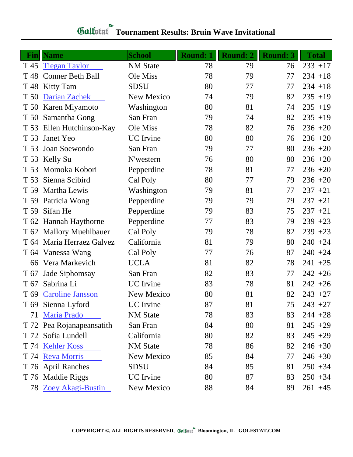# **Gulfatat** Tournament Results: Bruin Wave Invitational

| Fin  | <b>Name</b>               | <b>School</b>    | <b>Round: 1</b> | <b>Round: 2</b> | <b>Round: 3</b> | <b>Total</b> |
|------|---------------------------|------------------|-----------------|-----------------|-----------------|--------------|
|      | T 45 Tiegan Taylor        | <b>NM</b> State  | 78              | 79              | 76              | $233 + 17$   |
|      | T 48 Conner Beth Ball     | Ole Miss         | 78              | 79              | 77              | $234 + 18$   |
|      | T 48 Kitty Tam            | <b>SDSU</b>      | 80              | 77              | 77              | $234 + 18$   |
| T 50 | Darian Zachek             | New Mexico       | 74              | 79              | 82              | $235 + 19$   |
|      | T 50 Karen Miyamoto       | Washington       | 80              | 81              | 74              | $235 + 19$   |
|      | T 50 Samantha Gong        | San Fran         | 79              | 74              | 82              | $235 + 19$   |
|      | T 53 Ellen Hutchinson-Kay | Ole Miss         | 78              | 82              | 76              | $236 + 20$   |
| T 53 | Janet Yeo                 | <b>UC</b> Irvine | 80              | 80              | 76              | $236 + 20$   |
| T 53 | Joan Soewondo             | San Fran         | 79              | 77              | 80              | $236 + 20$   |
|      | T 53 Kelly Su             | N'western        | 76              | 80              | 80              | $236 + 20$   |
|      | T 53 Momoka Kobori        | Pepperdine       | 78              | 81              | 77              | $236 + 20$   |
| T 53 | Sienna Scibird            | Cal Poly         | 80              | 77              | 79              | $236 + 20$   |
|      | T 59 Martha Lewis         | Washington       | 79              | 81              | 77              | $237 + 21$   |
|      | T 59 Patricia Wong        | Pepperdine       | 79              | 79              | 79              | $237 + 21$   |
|      | T 59 Sifan He             | Pepperdine       | 79              | 83              | 75              | $237 + 21$   |
|      | T 62 Hannah Haythorne     | Pepperdine       | 77              | 83              | 79              | $239 + 23$   |
|      | T 62 Mallory Muehlbauer   | Cal Poly         | 79              | 78              | 82              | $239 + 23$   |
|      | T 64 Maria Herraez Galvez | California       | 81              | 79              | 80              | $240 + 24$   |
|      | T 64 Vanessa Wang         | Cal Poly         | 77              | 76              | 87              | $240 + 24$   |
|      | 66 Vera Markevich         | <b>UCLA</b>      | 81              | 82              | 78              | $241 + 25$   |
| T 67 | Jade Siphomsay            | San Fran         | 82              | 83              | 77              | $242 + 26$   |
| T 67 | Sabrina Li                | <b>UC</b> Irvine | 83              | 78              | 81              | $242 + 26$   |
|      | T 69 Caroline Jansson     | New Mexico       | 80              | 81              | 82              | $243 + 27$   |
|      | T 69 Sienna Lyford        | UC Irvine        | 87              | 81              | 75              | $243 + 27$   |
| 71   | <b>Maria Prado</b>        | <b>NM</b> State  | 78              | 83              | 83              | $244 + 28$   |
|      | T 72 Pea Rojanapeansatith | San Fran         | 84              | 80              | 81              | $245 + 29$   |
|      | T 72 Sofia Lundell        | California       | 80              | 82              | 83              | $245 + 29$   |
|      | T 74 Kehler Koss          | <b>NM</b> State  | 78              | 86              | 82              | $246 + 30$   |
|      | T 74 Reva Morris          | New Mexico       | 85              | 84              | 77              | $246 + 30$   |
|      | T 76 April Ranches        | <b>SDSU</b>      | 84              | 85              | 81              | $250 + 34$   |
|      | T 76 Maddie Riggs         | UC Irvine        | 80              | 87              | 83              | $250 + 34$   |
|      | 78 Zoey Akagi-Bustin      | New Mexico       | 88              | 84              | 89              | $261 + 45$   |